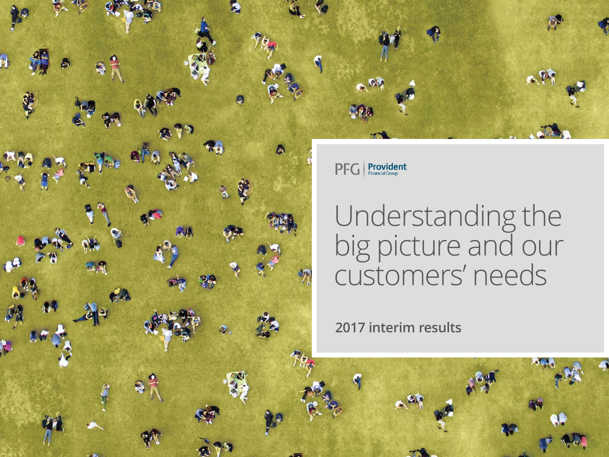

 $\mathsf{P}\mathsf{F}\mathsf{G}$  **Provident** 

# Understanding the big picture and our customers' needs

2017 interim results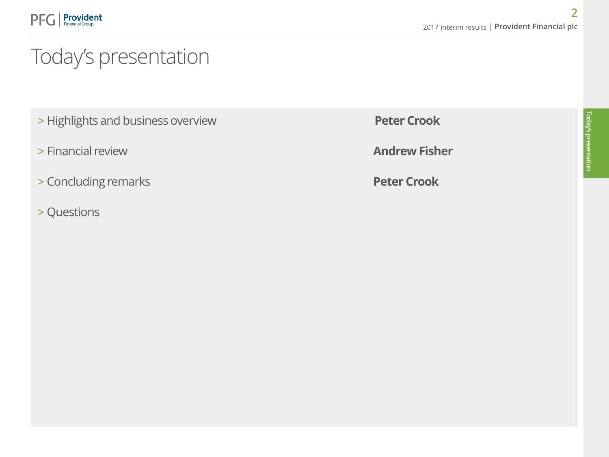## Today's presentation

- > Highlights and business overview **Peter Crook**
- > Financial review **Andrew Fisher**
- > Concluding remarks **Peter Crook**
- > Questions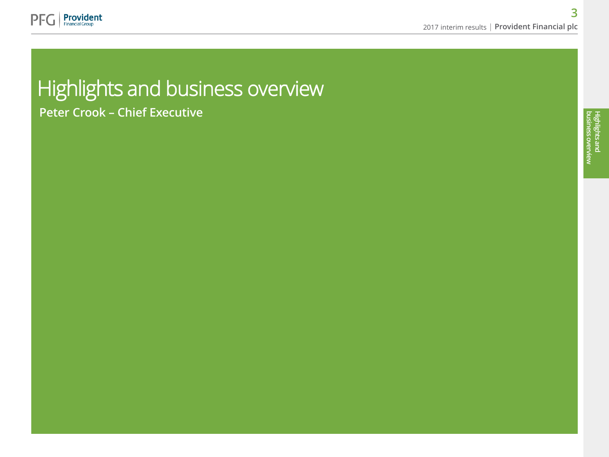

### Highlights and business overview Peter Crook – Chief Executive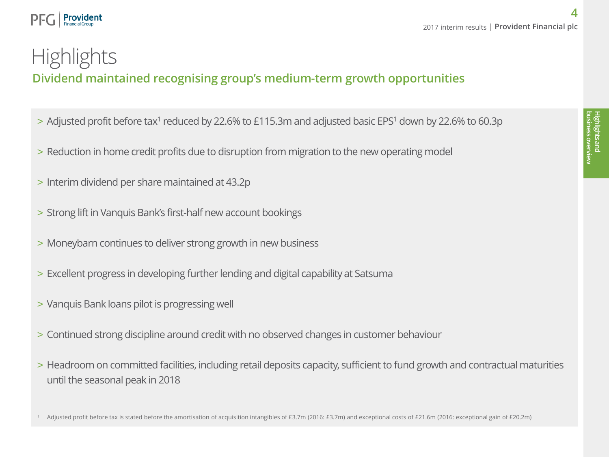#### Provident

### Dividend maintained recognising group's medium-term growth opportunities **Highlights**

- > Adjusted profit before tax<sup>1</sup> reduced by 22.6% to £115.3m and adjusted basic EPS<sup>1</sup> down by 22.6% to 60.3p
- > Reduction in home credit profits due to disruption from migration to the new operating model
- > Interim dividend per share maintained at 43.2p
- > Strong lift in Vanquis Bank's first-half new account bookings
- > Moneybarn continues to deliver strong growth in new business
- > Excellent progress in developing further lending and digital capability at Satsuma
- > Vanquis Bank loans pilot is progressing well
- > Continued strong discipline around credit with no observed changes in customer behaviour
- > Headroom on committed facilities, including retail deposits capacity, sufficient to fund growth and contractual maturities until the seasonal peak in 2018

Adjusted profit before tax is stated before the amortisation of acquisition intangibles of £3.7m (2016: £3.7m) and exceptional costs of £21.6m (2016: exceptional gain of £20.2m)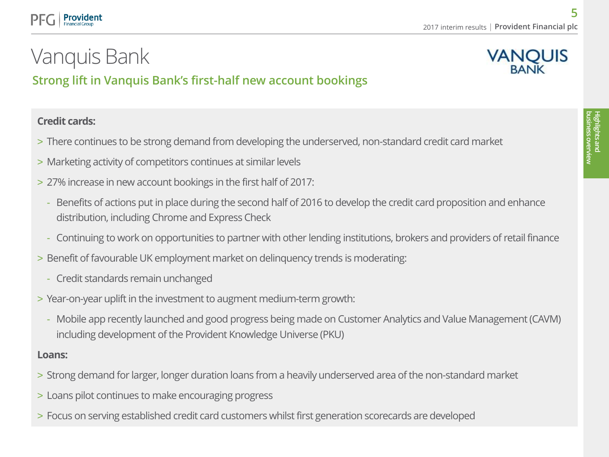## Vanquis Bank

#### Strong lift in Vanquis Bank's first-half new account bookings

#### **Credit cards:**

- > There continues to be strong demand from developing the underserved, non-standard credit card market
- > Marketing activity of competitors continues at similar levels
- > 27% increase in new account bookings in the first half of 2017:
	- Benefits of actions put in place during the second half of 2016 to develop the credit card proposition and enhance distribution, including Chrome and Express Check
	- Continuing to work on opportunities to partner with other lending institutions, brokers and providers of retail finance
- > Benefit of favourable UK employment market on delinquency trends is moderating:
	- Credit standards remain unchanged
- > Year-on-year uplift in the investment to augment medium-term growth:
	- Mobile app recently launched and good progress being made on Customer Analytics and Value Management (CAVM) including development of the Provident Knowledge Universe (PKU)

#### **Loans:**

- > Strong demand for larger, longer duration loans from a heavily underserved area of the non-standard market
- > Loans pilot continues to make encouraging progress
- > Focus on serving established credit card customers whilst first generation scorecards are developed

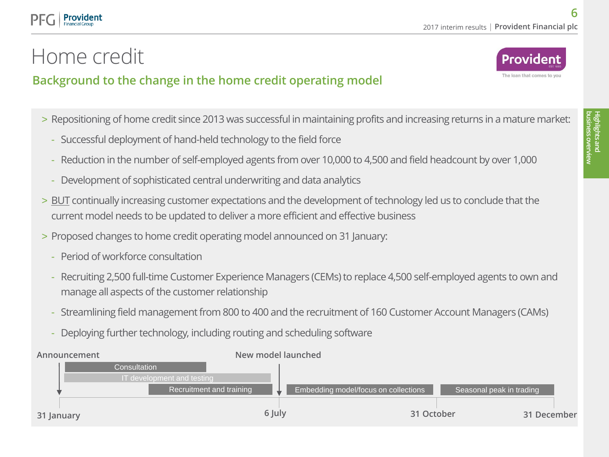## Home credit

Provident



#### Background to the change in the home credit operating model

- > Repositioning of home credit since 2013 was successful in maintaining profits and increasing returns in a mature market:
	- Successful deployment of hand-held technology to the field force
	- Reduction in the number of self-employed agents from over 10,000 to 4,500 and field headcount by over 1,000
	- Development of sophisticated central underwriting and data analytics
- > BUT continually increasing customer expectations and the development of technology led us to conclude that the current model needs to be updated to deliver a more efficient and effective business
- > Proposed changes to home credit operating model announced on 31 January:
	- Period of workforce consultation
	- Recruiting 2,500 full-time Customer Experience Managers (CEMs) to replace 4,500 self-employed agents to own and manage all aspects of the customer relationship
	- Streamlining field management from 800 to 400 and the recruitment of 160 Customer Account Managers (CAMs)
	- Deploying further technology, including routing and scheduling software

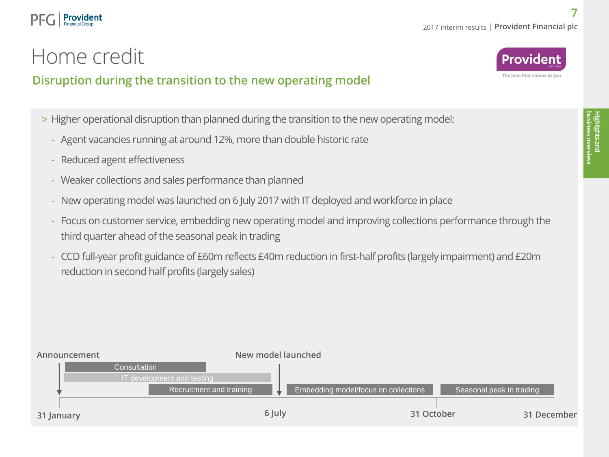## Home credit

**Provident** 

#### Disruption during the transition to the new operating model

- > Higher operational disruption than planned during the transition to the new operating model:
	- Agent vacancies running at around 12%, more than double historic rate
	- Reduced agent effectiveness
	- Weaker collections and sales performance than planned
	- New operating model was launched on 6 July 2017 with IT deployed and workforce in place
	- Focus on customer service, embedding new operating model and improving collections performance through the third quarter ahead of the seasonal peak in trading
	- CCD full-year profit guidance of £60m reflects £40m reduction in first-half profits (largely impairment) and £20m reduction in second half profits (largely sales)

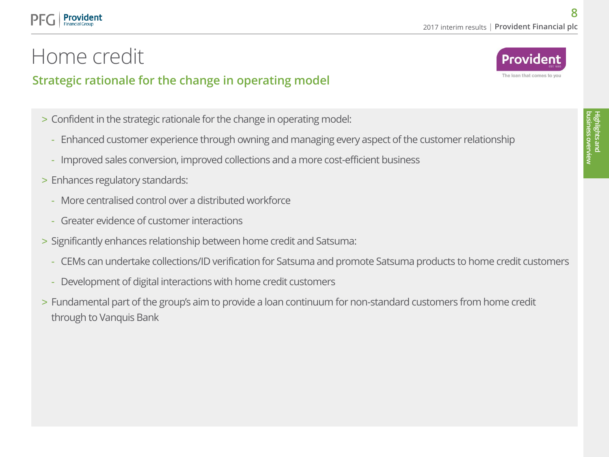## Home credit

#### Strategic rationale for the change in operating model

- > Confident in the strategic rationale for the change in operating model:
	- Enhanced customer experience through owning and managing every aspect of the customer relationship
	- Improved sales conversion, improved collections and a more cost-efficient business
- > Enhances regulatory standards:
	- More centralised control over a distributed workforce
	- Greater evidence of customer interactions
- > Significantly enhances relationship between home credit and Satsuma:
	- CEMs can undertake collections/ID verification for Satsuma and promote Satsuma products to home credit customers
	- Development of digital interactions with home credit customers
- > Fundamental part of the group's aim to provide a loan continuum for non-standard customers from home credit through to Vanquis Bank



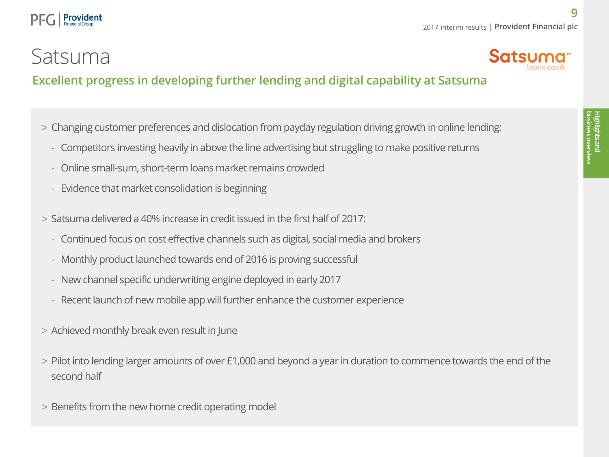## Satsuma

#### Excellent progress in developing further lending and digital capability at Satsuma

- > Changing customer preferences and dislocation from payday regulation driving growth in online lending:
	- Competitors investing heavily in above the line advertising but struggling to make positive returns
	- Online small-sum, short-term loans market remains crowded
	- Evidence that market consolidation is beginning
- > Satsuma delivered a 40% increase in credit issued in the first half of 2017:
	- Continued focus on cost effective channels such as digital, social media and brokers
	- Monthly product launched towards end of 2016 is proving successful
	- New channel specific underwriting engine deployed in early 2017
	- Recent launch of new mobile app will further enhance the customer experience
- > Achieved monthly break even result in June
- > Pilot into lending larger amounts of over £1,000 and beyond a year in duration to commence towards the end of the second half
- > Benefits from the new home credit operating model



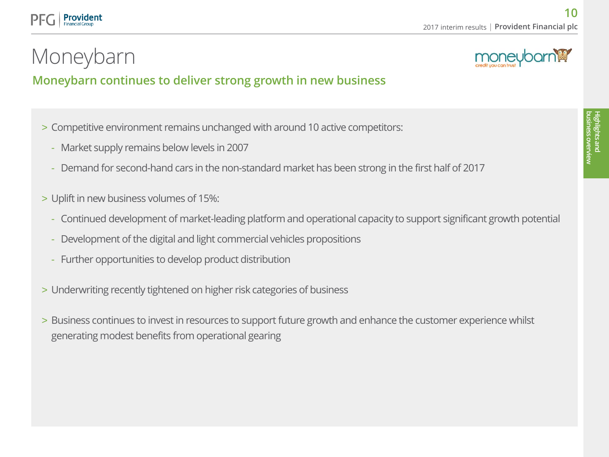## Moneybarn

Provident



Moneybarn continues to deliver strong growth in new business

- > Competitive environment remains unchanged with around 10 active competitors:
	- Market supply remains below levels in 2007
	- Demand for second-hand cars in the non-standard market has been strong in the first half of 2017
- > Uplift in new business volumes of 15%:
	- Continued development of market-leading platform and operational capacity to support significant growth potential
	- Development of the digital and light commercial vehicles propositions
	- Further opportunities to develop product distribution
- > Underwriting recently tightened on higher risk categories of business
- > Business continues to invest in resources to support future growth and enhance the customer experience whilst generating modest benefits from operational gearing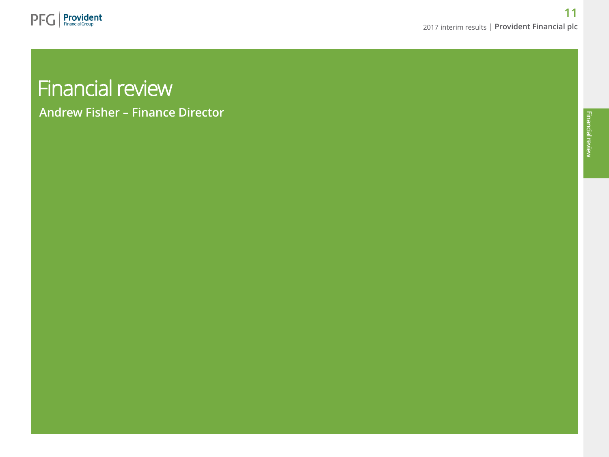

## Financial review

Andrew Fisher – Finance Director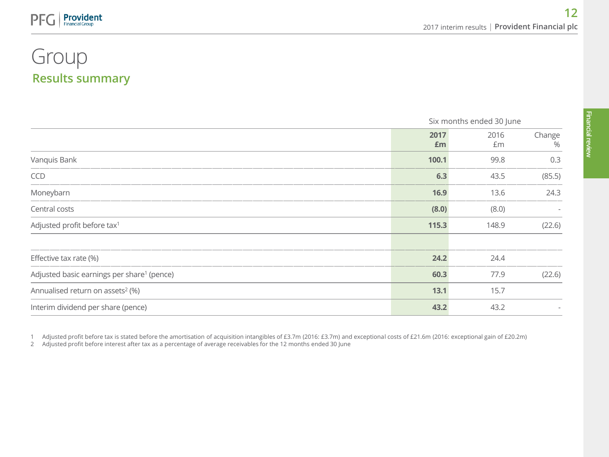#### Results summary Group

**Provident** 

 $PI$ 

| Six months ended 30 June |            |                                                       |
|--------------------------|------------|-------------------------------------------------------|
| 2017<br>£m               | 2016<br>£m | Change<br>$\%$                                        |
| 100.1                    | 99.8       | 0.3                                                   |
|                          | 43.5       | (85.5)                                                |
|                          | 13.6       | 24.3                                                  |
|                          | (8.0)      | $\overline{\phantom{a}}$                              |
|                          | 148.9      | (22.6)                                                |
|                          | 24.4       |                                                       |
|                          | 77.9       | (22.6)                                                |
| 13.1                     | 15.7       |                                                       |
|                          | 43.2       |                                                       |
|                          |            | 6.3<br>16.9<br>(8.0)<br>115.3<br>24.2<br>60.3<br>43.2 |

1 Adjusted profit before tax is stated before the amortisation of acquisition intangibles of £3.7m (2016: £3.7m) and exceptional costs of £21.6m (2016: exceptional gain of £20.2m)

2 Adjusted profit before interest after tax as a percentage of average receivables for the 12 months ended 30 June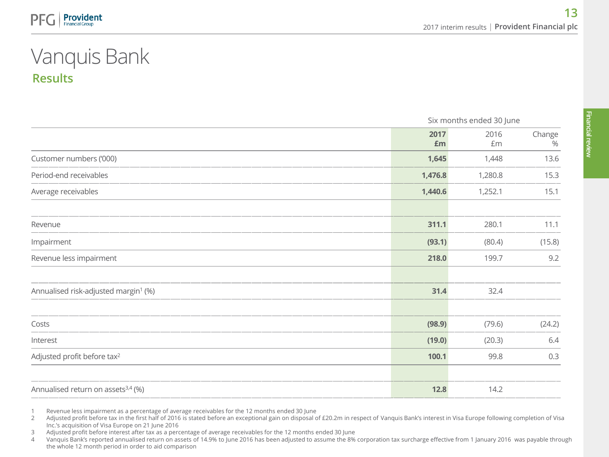### **Results** Vanquis Bank

|                                                  |            | Six months ended 30 June |                |
|--------------------------------------------------|------------|--------------------------|----------------|
|                                                  | 2017<br>£m | 2016<br>£m               | Change<br>$\%$ |
| Customer numbers ('000)                          | 1,645      | 1,448                    | 13.6           |
| Period-end receivables                           | 1,476.8    | 1,280.8                  | 15.3           |
| Average receivables                              | 1,440.6    | 1,252.1                  | 15.1           |
| Revenue                                          | 311.1      | 280.1                    | 11.1           |
| Impairment                                       | (93.1)     | (80.4)                   | (15.8)         |
| Revenue less impairment                          | 218.0      | 199.7                    | 9.2            |
| Annualised risk-adjusted margin <sup>1</sup> (%) | 31.4       | 32.4                     |                |
| Costs                                            | (98.9)     | (79.6)                   | (24.2)         |
| Interest                                         | (19.0)     | (20.3)                   | 6.4            |
| Adjusted profit before tax <sup>2</sup>          | 100.1      | 99.8                     | 0.3            |
| Annualised return on assets <sup>3,4</sup> (%)   | 12.8       | 14.2                     |                |

1 Revenue less impairment as a percentage of average receivables for the 12 months ended 30 June

2 Adjusted profit before tax in the first half of 2016 is stated before an exceptional gain on disposal of £20.2m in respect of Vanquis Bank's interest in Visa Europe following completion of Visa Inc.'s acquisition of Visa Europe on 21 June 2016

3 Adjusted profit before interest after tax as a percentage of average receivables for the 12 months ended 30 June

4 Vanquis Bank's reported annualised return on assets of 14.9% to June 2016 has been adjusted to assume the 8% corporation tax surcharge effective from 1 January 2016 was payable through the whole 12 month period in order to aid comparison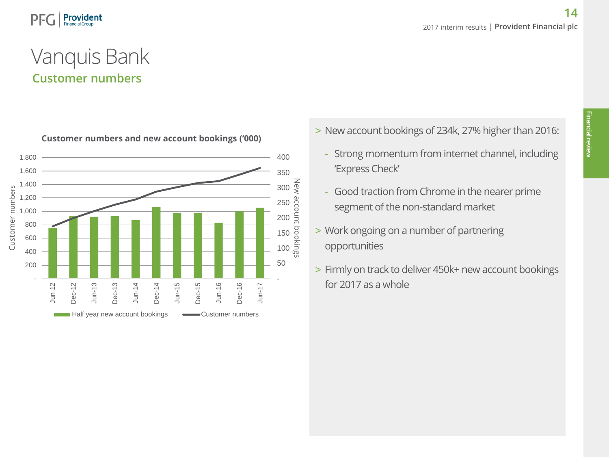#### Customer numbers Vanquis Bank



#### **Customer numbers and new account bookings ('000)**

- > New account bookings of 234k, 27% higher than 2016:
	- Strong momentum from internet channel, including 'Express Check'
	- Good traction from Chrome in the nearer prime segment of the non-standard market
- > Work ongoing on a number of partnering opportunities
- > Firmly on track to deliver 450k+ new account bookings for 2017 as a whole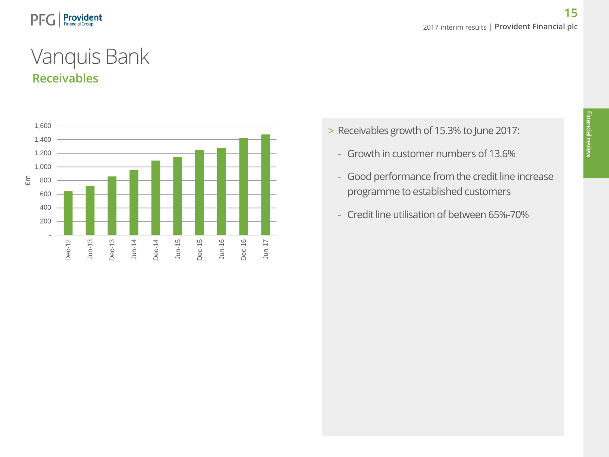### Receivables Vanquis Bank



- > Receivables growth of 15.3% to June 2017:
	- Growth in customer numbers of 13.6%
	- Good performance from the credit line increase programme to established customers
	- Credit line utilisation of between 65%-70%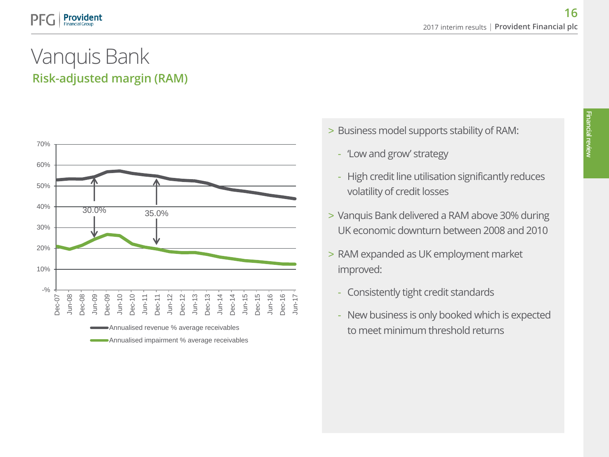### Risk-adjusted margin (RAM) Vanquis Bank



- > Business model supports stability of RAM:
	- 'Low and grow' strategy
	- High credit line utilisation significantly reduces volatility of credit losses
- > Vanquis Bank delivered a RAM above 30% during UK economic downturn between 2008 and 2010
- > RAM expanded as UK employment market improved:
	- Consistently tight credit standards
	- New business is only booked which is expected to meet minimum threshold returns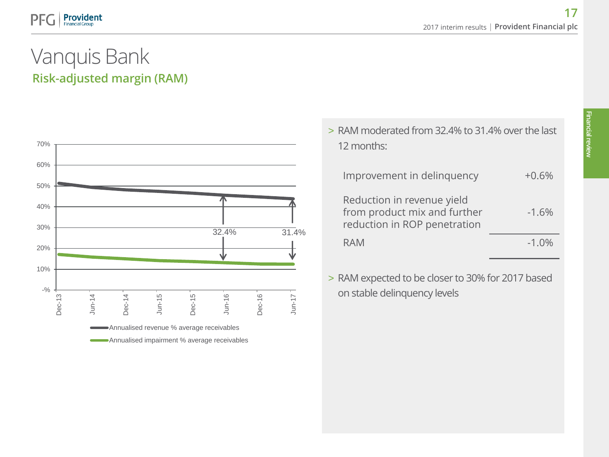### Risk-adjusted margin (RAM) Vanquis Bank



| > RAM moderated from 32.4% to 31.4% over the last<br>12 months:                            |          |
|--------------------------------------------------------------------------------------------|----------|
| Improvement in delinquency                                                                 | $+0.6%$  |
| Reduction in revenue yield<br>from product mix and further<br>reduction in ROP penetration | $-1.6%$  |
| RAM                                                                                        | $-1.0\%$ |

> RAM expected to be closer to 30% for 2017 based on stable delinquency levels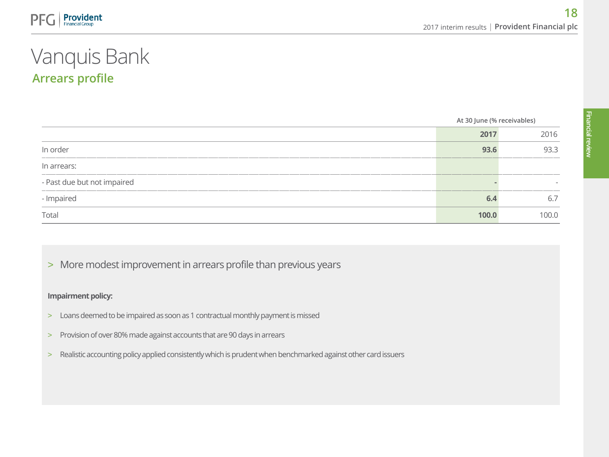### Arrears profile Vanquis Bank

|                             | At 30 June (% receivables) |       |
|-----------------------------|----------------------------|-------|
|                             | 2017                       | 2016  |
| In order                    | 93.6                       | 93.3  |
| In arrears:                 |                            |       |
| - Past due but not impaired |                            |       |
| - Impaired                  | 6.4                        | 6.7   |
| Total                       | 100.0                      | 100.0 |

> More modest improvement in arrears profile than previous years

#### **Impairment policy:**

- > Loans deemed to be impaired as soon as 1 contractual monthly payment is missed
- > Provision of over 80% made against accounts that are 90 days in arrears
- > Realistic accounting policy applied consistently which is prudent when benchmarked against other card issuers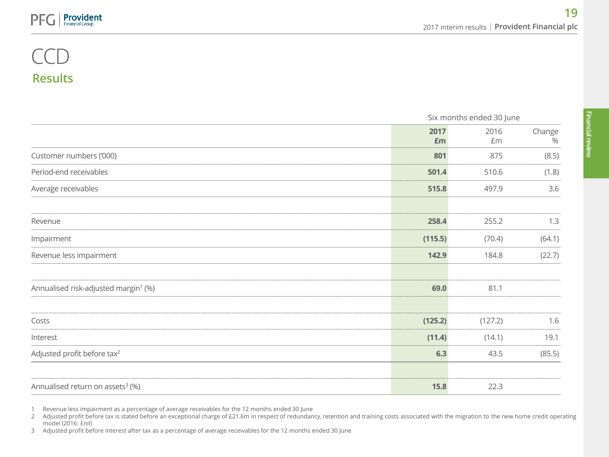#### Results CCD

|                                                  | Six months ended 30 June |            |                |
|--------------------------------------------------|--------------------------|------------|----------------|
|                                                  | 2017<br>£m               | 2016<br>Em | Change<br>$\%$ |
| Customer numbers ('000)                          | 801                      | 875        | (8.5)          |
| Period-end receivables                           | 501.4                    | 510.6      | (1.8)          |
| Average receivables                              | 515.8                    | 497.9      | 3.6            |
| Revenue                                          | 258.4                    | 255.2      | 1.3            |
| Impairment                                       | (115.5)                  | (70.4)     | (64.1)         |
| Revenue less impairment                          | 142.9                    | 184.8      | (22.7)         |
| Annualised risk-adjusted margin <sup>1</sup> (%) | 69.0                     | 81.1       |                |
| Costs                                            | (125.2)                  | (127.2)    | 1.6            |
| Interest                                         | (11.4)                   | (14.1)     | 19.1           |
| Adjusted profit before tax <sup>2</sup>          | 6.3                      | 43.5       | (85.5)         |
| Annualised return on assets <sup>3</sup> (%)     | 15.8                     | 22.3       |                |

1 Revenue less impairment as a percentage of average receivables for the 12 months ended 30 June

2 Adjusted profit before tax is stated before an exceptional charge of £21.6m in respect of redundancy, retention and training costs associated with the migration to the new home credit operating model (2016: £nil)

3 Adjusted profit before interest after tax as a percentage of average receivables for the 12 months ended 30 June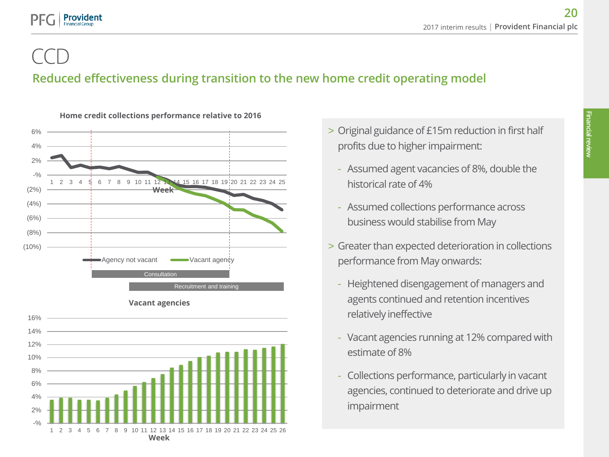### Reduced effectiveness during transition to the new home credit operating model CCD



**Provident Financial Group** 

- > Original guidance of £15m reduction in first half profits due to higher impairment:
	- Assumed agent vacancies of 8%, double the historical rate of 4%
	- Assumed collections performance across business would stabilise from May
- > Greater than expected deterioration in collections performance from May onwards:
	- Heightened disengagement of managers and agents continued and retention incentives relatively ineffective
	- Vacant agencies running at 12% compared with estimate of 8%
	- Collections performance, particularly in vacant agencies, continued to deteriorate and drive up impairment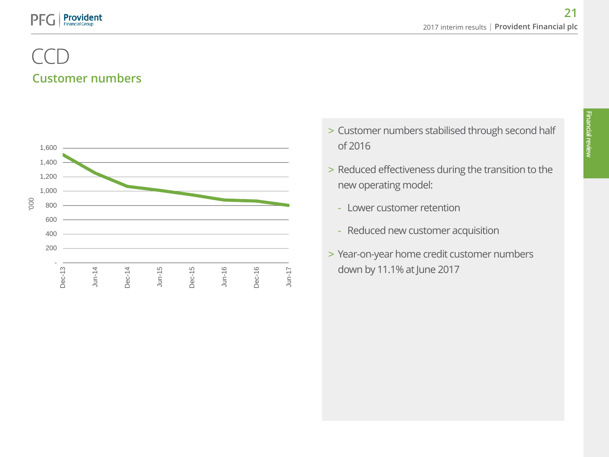#### **Provident** PF

### Customer numbers CCD



- > Customer numbers stabilised through second half of 2016
- > Reduced effectiveness during the transition to the new operating model:
	- Lower customer retention
	- Reduced new customer acquisition
- > Year-on-year home credit customer numbers down by 11.1% at June 2017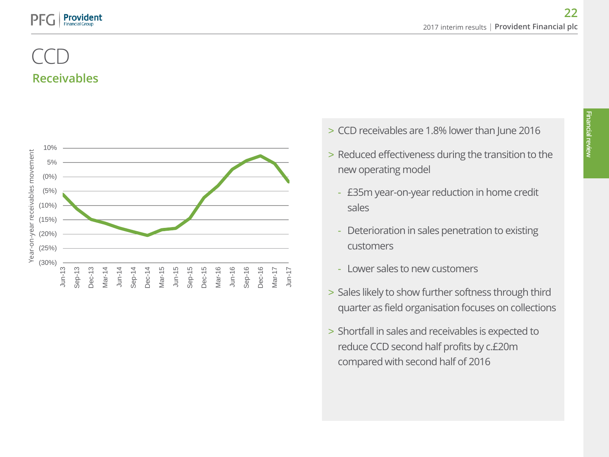#### Receivables CCD

**Provident** Financial Group



- > CCD receivables are 1.8% lower than June 2016
- > Reduced effectiveness during the transition to the new operating model
	- £35m year-on-year reduction in home credit sales
	- Deterioration in sales penetration to existing customers
	- Lower sales to new customers
- > Sales likely to show further softness through third quarter as field organisation focuses on collections
- > Shortfall in sales and receivables is expected to reduce CCD second half profits by c.£20m compared with second half of 2016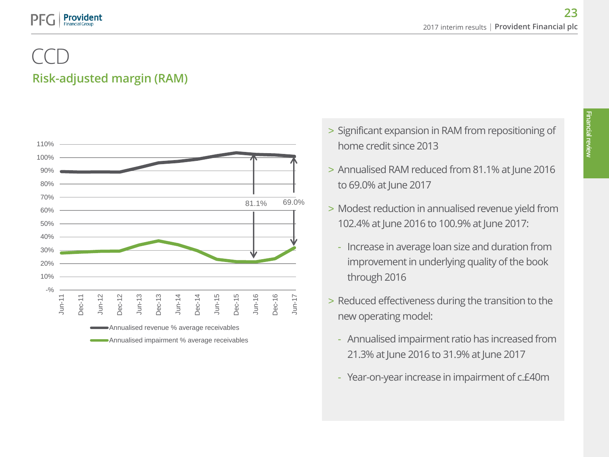#### Risk-adjusted margin (RAM) CCD



- > Significant expansion in RAM from repositioning of home credit since 2013
- > Annualised RAM reduced from 81.1% at June 2016 to 69.0% at June 2017
- > Modest reduction in annualised revenue yield from 102.4% at June 2016 to 100.9% at June 2017:
	- Increase in average loan size and duration from improvement in underlying quality of the book through 2016
- > Reduced effectiveness during the transition to the new operating model:
	- Annualised impairment ratio has increased from 21.3% at June 2016 to 31.9% at June 2017
	- Year-on-year increase in impairment of c.£40m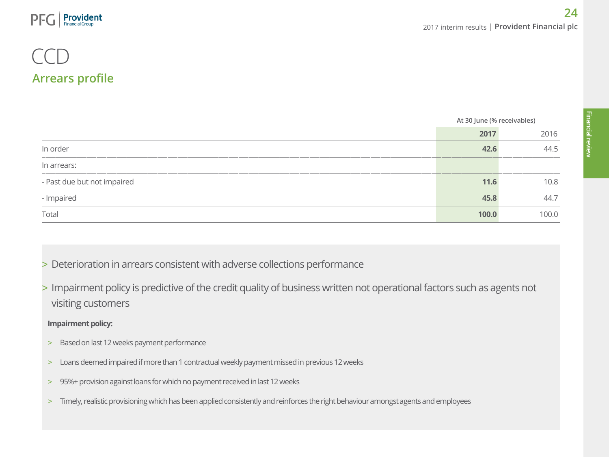#### Arrears profile CCD

|                             | At 30 June (% receivables) |      |
|-----------------------------|----------------------------|------|
|                             | 2017                       | 2016 |
| In order                    | 42.6                       | 44 5 |
| In arrears:                 |                            |      |
| - Past due but not impaired | 11.6                       | 10.8 |
| - Impaired                  | 45.8                       | 44   |
| Total                       | 100.0                      | 1000 |

- > Deterioration in arrears consistent with adverse collections performance
- > Impairment policy is predictive of the credit quality of business written not operational factors such as agents not visiting customers

#### **Impairment policy:**

- > Based on last 12 weeks payment performance
- > Loans deemed impaired if more than 1 contractual weekly payment missed in previous 12 weeks
- > 95%+ provision against loans for which no payment received in last 12 weeks
- > Timely, realistic provisioning which has been applied consistently and reinforces the right behaviour amongst agents and employees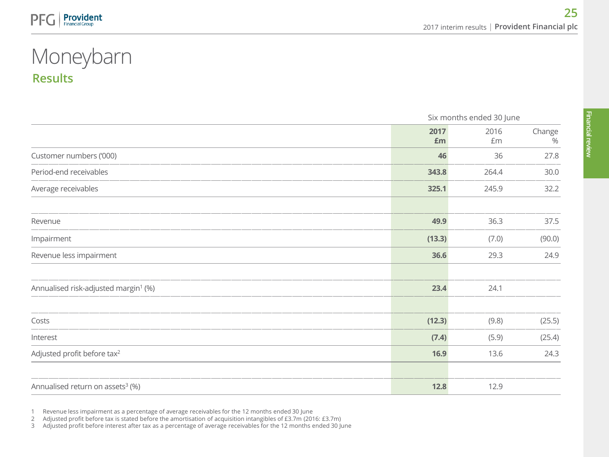### Results Moneybarn

|                                                  |            | Six months ended 30 June |                |
|--------------------------------------------------|------------|--------------------------|----------------|
|                                                  | 2017<br>£m | 2016<br>£m               | Change<br>$\%$ |
| Customer numbers ('000)                          | 46         | 36                       | 27.8           |
| Period-end receivables                           | 343.8      | 264.4                    | 30.0           |
| Average receivables                              | 325.1      | 245.9                    | 32.2           |
| Revenue                                          | 49.9       | 36.3                     | 37.5           |
| Impairment                                       | (13.3)     | (7.0)                    | (90.0)         |
| Revenue less impairment                          | 36.6       | 29.3                     | 24.9           |
| Annualised risk-adjusted margin <sup>1</sup> (%) | 23.4       | 24.1                     |                |
| Costs                                            | (12.3)     | (9.8)                    | (25.5)         |
| Interest                                         | (7.4)      | (5.9)                    | (25.4)         |
| Adjusted profit before tax <sup>2</sup>          | 16.9       | 13.6                     | 24.3           |
| Annualised return on assets <sup>3</sup> (%)     | 12.8       | 12.9                     |                |

1 Revenue less impairment as a percentage of average receivables for the 12 months ended 30 June

2 Adjusted profit before tax is stated before the amortisation of acquisition intangibles of £3.7m (2016: £3.7m)

3 Adjusted profit before interest after tax as a percentage of average receivables for the 12 months ended 30 June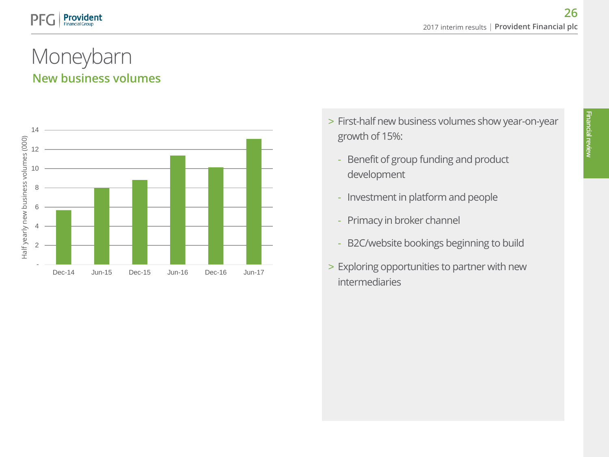### New business volumes Moneybarn



- > First-half new business volumes show year-on-year growth of 15%:
	- Benefit of group funding and product development
	- Investment in platform and people
	- Primacy in broker channel
	- B2C/website bookings beginning to build
- > Exploring opportunities to partner with new intermediaries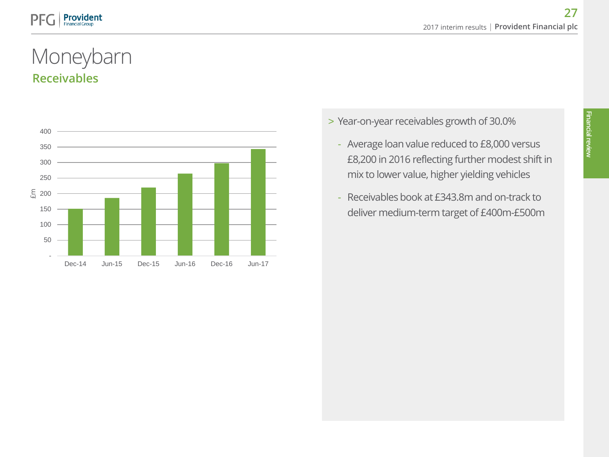#### Receivables Moneybarn



- > Year-on-year receivables growth of 30.0%
	- Average loan value reduced to £8,000 versus £8,200 in 2016 reflecting further modest shift in mix to lower value, higher yielding vehicles
	- Receivables book at £343.8m and on-track to deliver medium-term target of £400m-£500m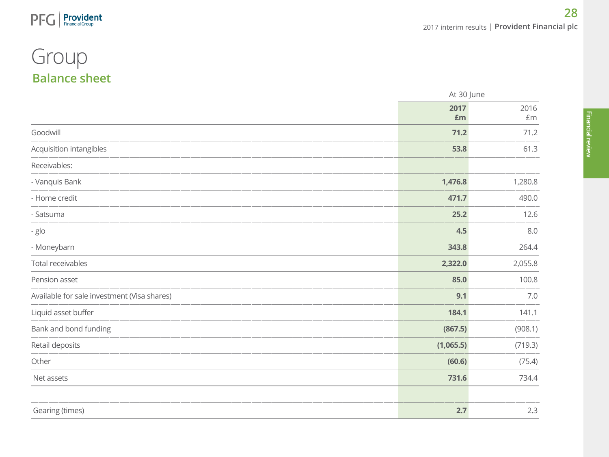### Balance sheet Group

PFG

**Provident** 

|                                             |            | At 30 June |  |
|---------------------------------------------|------------|------------|--|
|                                             | 2017<br>£m | 2016<br>£m |  |
| Goodwill                                    | 71.2       | 71.2       |  |
| Acquisition intangibles                     | 53.8       | 61.3       |  |
| Receivables:                                |            |            |  |
| - Vanquis Bank                              | 1,476.8    | 1,280.8    |  |
| - Home credit                               | 471.7      | 490.0      |  |
| - Satsuma                                   | 25.2       | 12.6       |  |
| - glo                                       | 4.5        | 8.0        |  |
| - Moneybarn                                 | 343.8      | 264.4      |  |
| Total receivables                           | 2,322.0    | 2,055.8    |  |
| Pension asset                               | 85.0       | 100.8      |  |
| Available for sale investment (Visa shares) | 9.1        | 7.0        |  |
| Liquid asset buffer                         | 184.1      | 141.1      |  |
| Bank and bond funding                       | (867.5)    | (908.1)    |  |
| Retail deposits                             | (1,065.5)  | (719.3)    |  |
| Other                                       | (60.6)     | (75.4)     |  |
| Net assets                                  | 731.6      | 734.4      |  |
|                                             |            |            |  |
| Gearing (times)                             | 2.7        | 2.3        |  |
|                                             |            |            |  |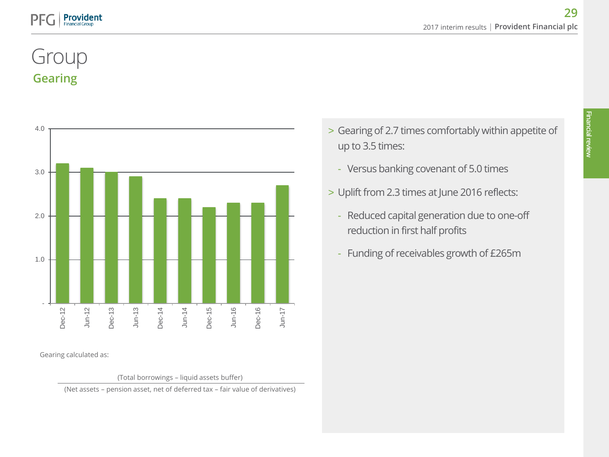### Gearing Group



Gearing calculated as:

(Total borrowings – liquid assets buffer) (Net assets – pension asset, net of deferred tax – fair value of derivatives)

- > Gearing of 2.7 times comfortably within appetite of up to 3.5 times:
	- Versus banking covenant of 5.0 times
- > Uplift from 2.3 times at June 2016 reflects:
	- Reduced capital generation due to one-off reduction in first half profits
	- Funding of receivables growth of £265m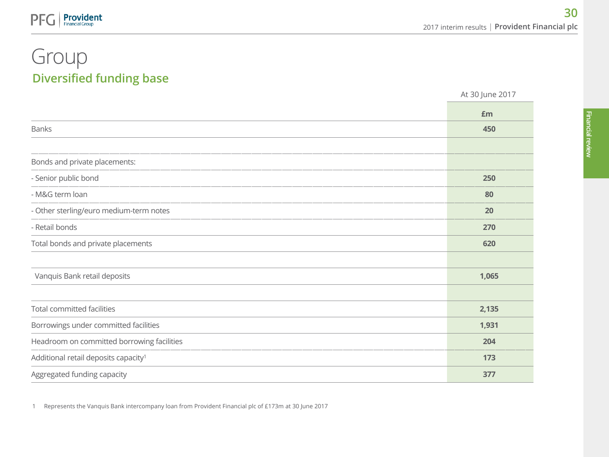#### Diversified funding base Group

**Provident** 

 $P$ 

At 30 June 2017

|                                                  | £m    |
|--------------------------------------------------|-------|
| <b>Banks</b>                                     | 450   |
|                                                  |       |
| Bonds and private placements:                    |       |
| - Senior public bond                             | 250   |
| - M&G term loan                                  | 80    |
| - Other sterling/euro medium-term notes          | 20    |
| - Retail bonds                                   | 270   |
| Total bonds and private placements               | 620   |
|                                                  |       |
| Vanquis Bank retail deposits                     | 1,065 |
|                                                  |       |
| Total committed facilities                       | 2,135 |
| Borrowings under committed facilities            | 1,931 |
| Headroom on committed borrowing facilities       | 204   |
| Additional retail deposits capacity <sup>1</sup> | 173   |
| Aggregated funding capacity                      | 377   |

1 Represents the Vanquis Bank intercompany loan from Provident Financial plc of £173m at 30 June 2017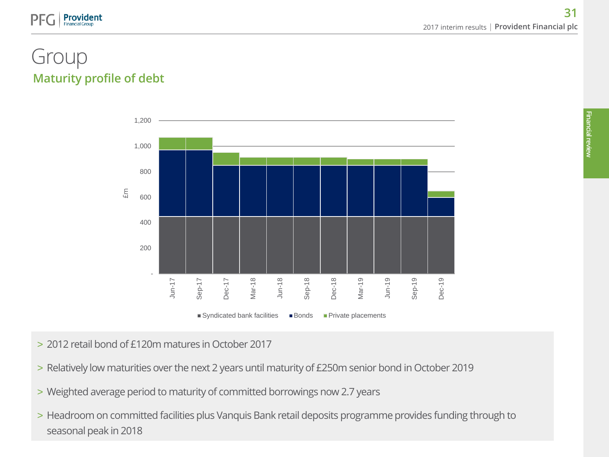#### Maturity profile of debt Group

**Provident** 



- > 2012 retail bond of £120m matures in October 2017
- > Relatively low maturities over the next 2 years until maturity of £250m senior bond in October 2019
- > Weighted average period to maturity of committed borrowings now 2.7 years
- > Headroom on committed facilities plus Vanquis Bank retail deposits programme provides funding through to seasonal peak in 2018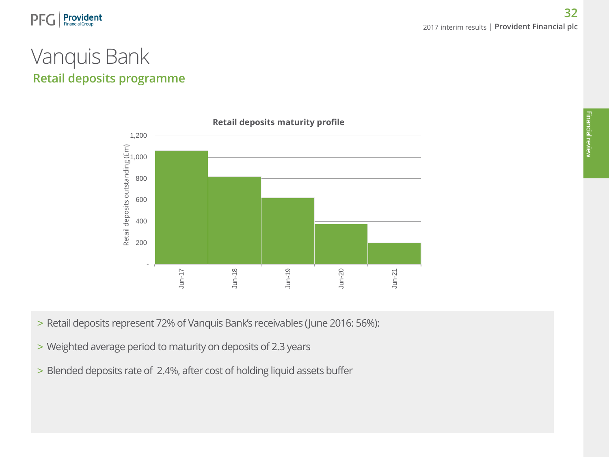

#### Retail deposits programme Vanquis Bank

**Provident** 



- > Retail deposits represent 72% of Vanquis Bank's receivables (June 2016: 56%):
- > Weighted average period to maturity on deposits of 2.3 years
- > Blended deposits rate of 2.4%, after cost of holding liquid assets buffer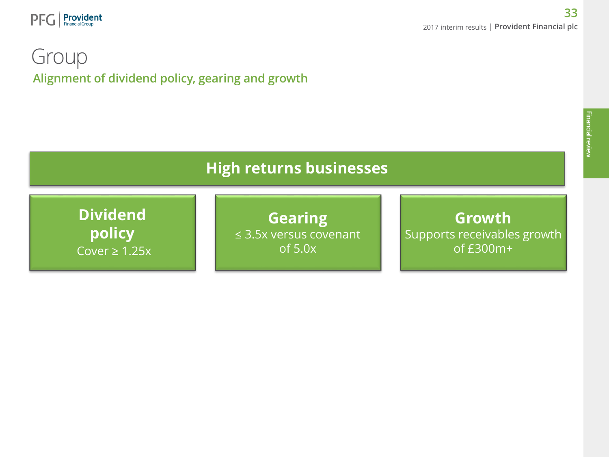

### Alignment of dividend policy, gearing and growth Group

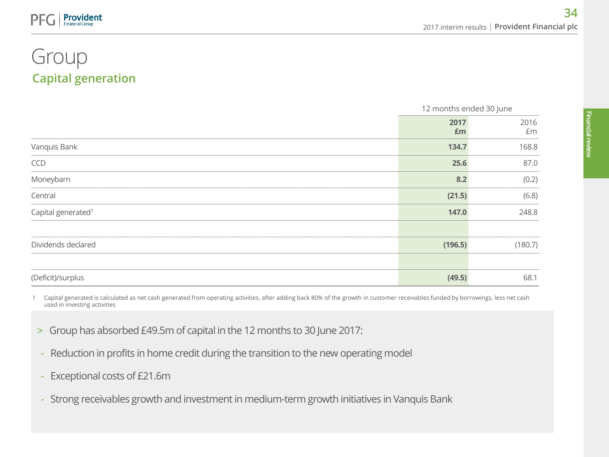### Capital generation Group

**Provident** 

|                                |            | 12 months ended 30 June |  |
|--------------------------------|------------|-------------------------|--|
|                                | 2017<br>£m | 2016<br>£m              |  |
| Vanquis Bank                   | 134.7      | 168.8                   |  |
| CCD                            | 25.6       | 87.0                    |  |
| Moneybarn                      | 8.2        | (0.2)                   |  |
| Central                        | (21.5)     | (6.8)                   |  |
| Capital generated <sup>1</sup> | 147.0      | 248.8                   |  |
|                                |            |                         |  |
| Dividends declared             | (196.5)    | (180.7)                 |  |
|                                |            |                         |  |
| (Deficit)/surplus              | (49.5)     | 68.1                    |  |

1 Capital generated is calculated as net cash generated from operating activities, after adding back 80% of the growth in customer receivables funded by borrowings, less net cash used in investing activities

- > Group has absorbed £49.5m of capital in the 12 months to 30 June 2017:
- Reduction in profits in home credit during the transition to the new operating model
- Exceptional costs of £21.6m
- Strong receivables growth and investment in medium-term growth initiatives in Vanquis Bank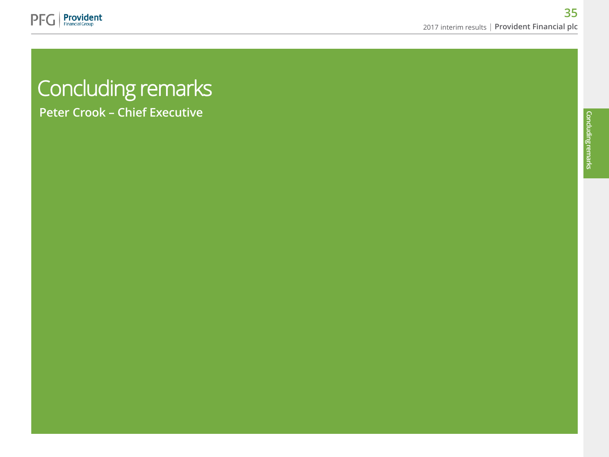

# Concluding remarks

Peter Crook – Chief Executive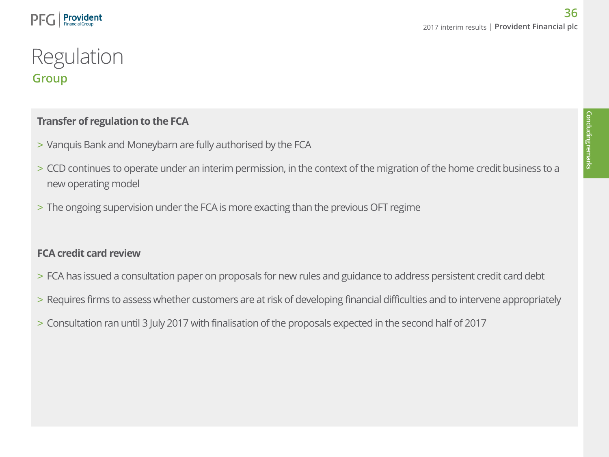#### Group Regulation

#### **Transfer of regulation to the FCA**

- > Vanquis Bank and Moneybarn are fully authorised by the FCA
- > CCD continues to operate under an interim permission, in the context of the migration of the home credit business to a new operating model
- > The ongoing supervision under the FCA is more exacting than the previous OFT regime

#### **FCA credit card review**

- > FCA has issued a consultation paper on proposals for new rules and guidance to address persistent credit card debt
- > Requires firms to assess whether customers are at risk of developing financial difficulties and to intervene appropriately
- > Consultation ran until 3 July 2017 with finalisation of the proposals expected in the second half of 2017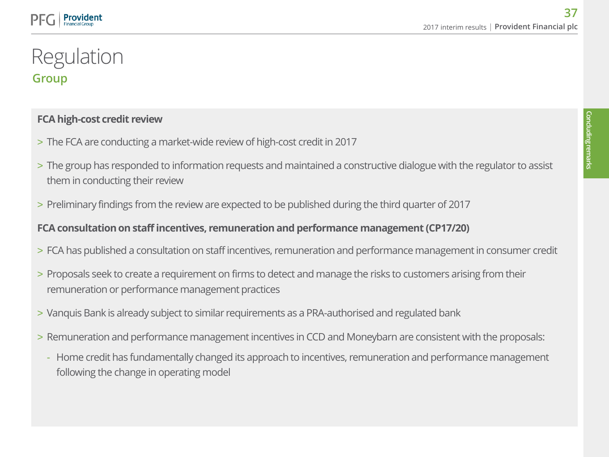### Group Regulation

Provident

#### **FCA high-cost credit review**

- > The FCA are conducting a market-wide review of high-cost credit in 2017
- > The group has responded to information requests and maintained a constructive dialogue with the regulator to assist them in conducting their review
- > Preliminary findings from the review are expected to be published during the third quarter of 2017

#### **FCA consultation on staff incentives, remuneration and performance management (CP17/20)**

- > FCA has published a consultation on staff incentives, remuneration and performance management in consumer credit
- > Proposals seek to create a requirement on firms to detect and manage the risks to customers arising from their remuneration or performance management practices
- > Vanquis Bank is already subject to similar requirements as a PRA-authorised and regulated bank
- > Remuneration and performance management incentives in CCD and Moneybarn are consistent with the proposals:
	- Home credit has fundamentally changed its approach to incentives, remuneration and performance management following the change in operating model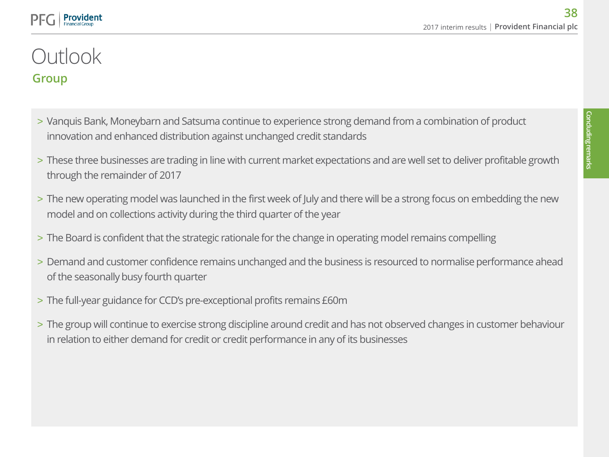### Group **Outlook**

Provident

- > Vanquis Bank, Moneybarn and Satsuma continue to experience strong demand from a combination of product innovation and enhanced distribution against unchanged credit standards
- > These three businesses are trading in line with current market expectations and are well set to deliver profitable growth through the remainder of 2017
- > The new operating model was launched in the first week of July and there will be a strong focus on embedding the new model and on collections activity during the third quarter of the year
- > The Board is confident that the strategic rationale for the change in operating model remains compelling
- > Demand and customer confidence remains unchanged and the business is resourced to normalise performance ahead of the seasonally busy fourth quarter
- > The full-year guidance for CCD's pre-exceptional profits remains £60m
- > The group will continue to exercise strong discipline around credit and has not observed changes in customer behaviour in relation to either demand for credit or credit performance in any of its businesses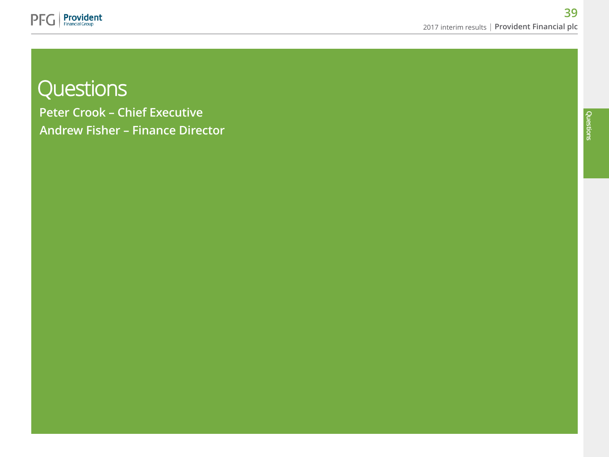

## **Questions**

Peter Crook – Chief Executive Andrew Fisher – Finance Director